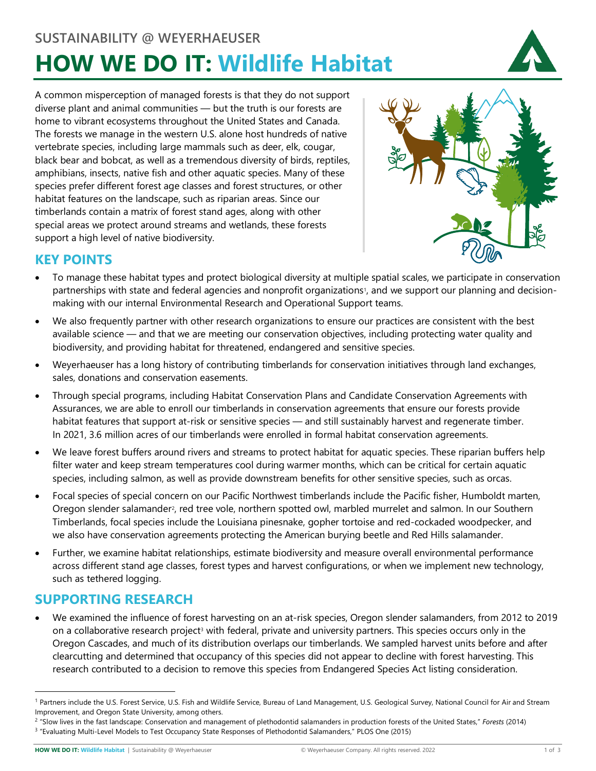# **SUSTAINABILITY @ WEYERHAEUSER HOW WE DO IT: Wildlife Habitat**



A common misperception of managed forests is that they do not support diverse plant and animal communities — but the truth is our forests are home to vibrant ecosystems throughout the United States and Canada. The forests we manage in the western U.S. alone host hundreds of native vertebrate species, including large mammals such as deer, elk, cougar, black bear and bobcat, as well as a tremendous diversity of birds, reptiles, amphibians, insects, native fish and other aquatic species. Many of these species prefer different forest age classes and forest structures, or other habitat features on the landscape, such as riparian areas. Since our timberlands contain a matrix of forest stand ages, along with other special areas we protect around streams and wetlands, these forests support a high level of native biodiversity.



## **KEY POINTS**

- To manage these habitat types and protect biological diversity at multiple spatial scales, we participate in conservation partnerships with state and federal agencies and nonprofit organizations<sup>1</sup>, and we support our planning and decisionmaking with our internal Environmental Research and Operational Support teams.
- We also frequently partner with other research organizations to ensure our practices are consistent with the best available science — and that we are meeting our conservation objectives, including protecting water quality and biodiversity, and providing habitat for threatened, endangered and sensitive species.
- Weyerhaeuser has a long history of contributing timberlands for conservation initiatives through land exchanges, sales, donations and conservation easements.
- Through special programs, including Habitat Conservation Plans and Candidate Conservation Agreements with Assurances, we are able to enroll our timberlands in conservation agreements that ensure our forests provide habitat features that support at-risk or sensitive species — and still sustainably harvest and regenerate timber. In 2021, 3.6 million acres of our timberlands were enrolled in formal habitat conservation agreements.
- We leave forest buffers around rivers and streams to protect habitat for aquatic species. These riparian buffers help filter water and keep stream temperatures cool during warmer months, which can be critical for certain aquatic species, including salmon, as well as provide downstream benefits for other sensitive species, such as orcas.
- Focal species of special concern on our Pacific Northwest timberlands include the Pacific fisher, Humboldt marten, Oregon slender salamander[2](#page-0-1), red tree vole, northern spotted owl, marbled murrelet and salmon. In our Southern Timberlands, focal species include the Louisiana pinesnake, gopher tortoise and red-cockaded woodpecker, and we also have conservation agreements protecting the American burying beetle and Red Hills salamander.
- Further, we examine habitat relationships, estimate biodiversity and measure overall environmental performance across different stand age classes, forest types and harvest configurations, or when we implement new technology, such as tethered logging.

## **SUPPORTING RESEARCH**

• We examined the influence of forest harvesting on an at-risk species, Oregon slender salamanders, from 2012 to 2019 on a collaborative research project<sup>3</sup> with federal, private and university partners. This species occurs only in the Oregon Cascades, and much of its distribution overlaps our timberlands. We sampled harvest units before and after clearcutting and determined that occupancy of this species did not appear to decline with forest harvesting. This research contributed to a decision to remove this species from Endangered Species Act listing consideration.

<span id="page-0-0"></span><sup>&</sup>lt;sup>1</sup> Partners include the U.S. Forest Service, U.S. Fish and Wildlife Service, Bureau of Land Management, U.S. Geological Survey, National Council for Air and Stream Improvement, and Oregon State University, among others.

<span id="page-0-2"></span><span id="page-0-1"></span><sup>2 &</sup>quot;Slow lives in the fast landscape: Conservation and management of plethodontid salamanders in production forests of the United States," *Forests* (2014) 3 "Evaluating Multi-Level Models to Test Occupancy State Responses of Plethodontid Salamanders," PLOS One (2015)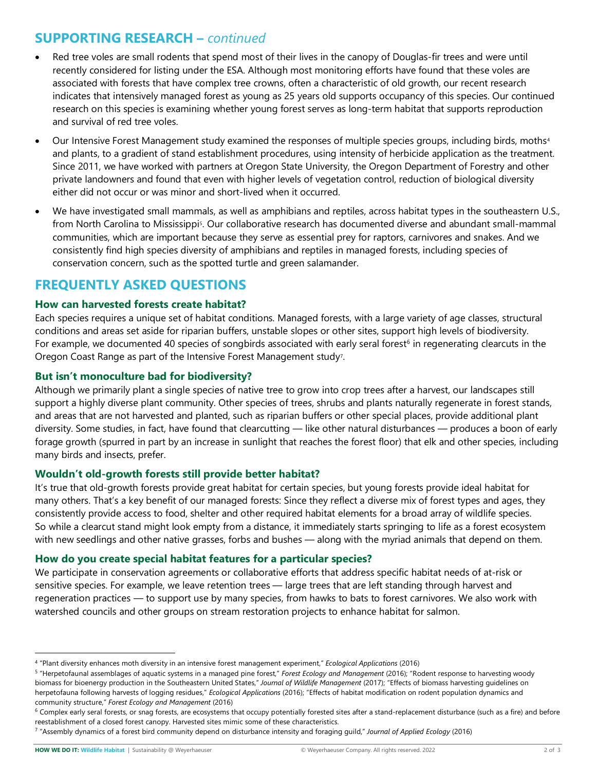## **SUPPORTING RESEARCH –** *continued*

- Red tree voles are small rodents that spend most of their lives in the canopy of Douglas-fir trees and were until recently considered for listing under the ESA. Although most monitoring efforts have found that these voles are associated with forests that have complex tree crowns, often a characteristic of old growth, our recent research indicates that intensively managed forest as young as 25 years old supports occupancy of this species. Our continued research on this species is examining whether young forest serves as long-term habitat that supports reproduction and survival of red tree voles.
- Our Intensive Forest Management study examined the responses of multiple species groups, including birds, moth[s4](#page-1-0) and plants, to a gradient of stand establishment procedures, using intensity of herbicide application as the treatment. Since 2011, we have worked with partners at Oregon State University, the Oregon Department of Forestry and other private landowners and found that even with higher levels of vegetation control, reduction of biological diversity either did not occur or was minor and short-lived when it occurred.
- We have investigated small mammals, as well as amphibians and reptiles, across habitat types in the southeastern U.S., from North Carolina to Mississippi<sup>5</sup>. Our collaborative research has documented diverse and abundant small-mammal communities, which are important because they serve as essential prey for raptors, carnivores and snakes. And we consistently find high species diversity of amphibians and reptiles in managed forests, including species of conservation concern, such as the spotted turtle and green salamander.

## **FREQUENTLY ASKED QUESTIONS**

#### **How can harvested forests create habitat?**

Each species requires a unique set of habitat conditions. Managed forests, with a large variety of age classes, structural conditions and areas set aside for riparian buffers, unstable slopes or other sites, support high levels of biodiversity. For example, we documented 40 species of songbirds associated with early seral forest<sup>[6](#page-1-2)</sup> in regenerating clearcuts in the Oregon Coast Range as part of the Intensive Forest Management study[7](#page-1-3).

#### **But isn't monoculture bad for biodiversity?**

Although we primarily plant a single species of native tree to grow into crop trees after a harvest, our landscapes still support a highly diverse plant community. Other species of trees, shrubs and plants naturally regenerate in forest stands, and areas that are not harvested and planted, such as riparian buffers or other special places, provide additional plant diversity. Some studies, in fact, have found that clearcutting — like other natural disturbances — produces a boon of early forage growth (spurred in part by an increase in sunlight that reaches the forest floor) that elk and other species, including many birds and insects, prefer.

## **Wouldn't old-growth forests still provide better habitat?**

It's true that old-growth forests provide great habitat for certain species, but young forests provide ideal habitat for many others. That's a key benefit of our managed forests: Since they reflect a diverse mix of forest types and ages, they consistently provide access to food, shelter and other required habitat elements for a broad array of wildlife species. So while a clearcut stand might look empty from a distance, it immediately starts springing to life as a forest ecosystem with new seedlings and other native grasses, forbs and bushes — along with the myriad animals that depend on them.

#### **How do you create special habitat features for a particular species?**

We participate in conservation agreements or collaborative efforts that address specific habitat needs of at-risk or sensitive species. For example, we leave retention trees — large trees that are left standing through harvest and regeneration practices — to support use by many species, from hawks to bats to forest carnivores. We also work with watershed councils and other groups on stream restoration projects to enhance habitat for salmon.

<span id="page-1-0"></span><sup>4</sup> "Plant diversity enhances moth diversity in an intensive forest management experiment," *Ecological Applications* (2016)

<span id="page-1-1"></span><sup>5</sup> "Herpetofaunal assemblages of aquatic systems in a managed pine forest," *Forest Ecology and Management* (2016); "Rodent response to harvesting woody biomass for bioenergy production in the Southeastern United States," *Journal of Wildlife Management* (2017); "Effects of biomass harvesting guidelines on herpetofauna following harvests of logging residues," *Ecological Applications* (2016); "Effects of habitat modification on rodent population dynamics and community structure," *Forest Ecology and Management* (2016)

<span id="page-1-2"></span> $6$  Complex early seral forests, or snag forests, are ecosystems that occupy potentially forested sites after a stand-replacement disturbance (such as a fire) and before reestablishment of a closed forest canopy. Harvested sites mimic some of these characteristics.

<span id="page-1-3"></span><sup>7</sup> "Assembly dynamics of a forest bird community depend on disturbance intensity and foraging guild," *Journal of Applied Ecology* (2016)